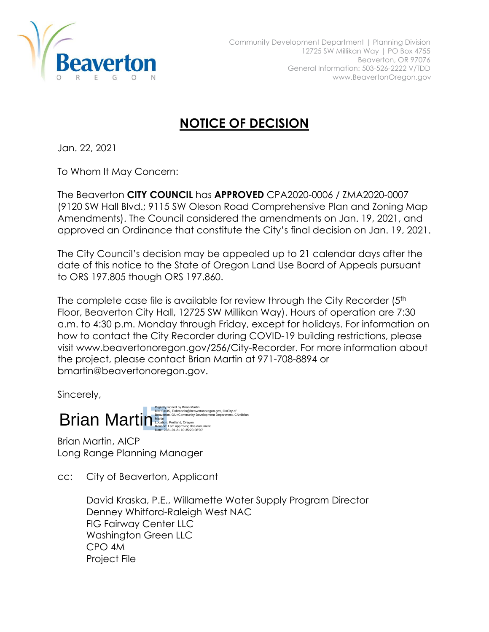

## **NOTICE OF DECISION**

Jan. 22, 2021

To Whom It May Concern:

The Beaverton **CITY COUNCIL** has **APPROVED** CPA2020-0006 / ZMA2020-0007 (9120 SW Hall Blvd.; 9115 SW Oleson Road Comprehensive Plan and Zoning Map Amendments). The Council considered the amendments on Jan. 19, 2021, and approved an Ordinance that constitute the City's final decision on Jan. 19, 2021.

The City Council's decision may be appealed up to 21 calendar days after the date of this notice to the State of Oregon Land Use Board of Appeals pursuant to ORS 197.805 though ORS 197.860.

The complete case file is available for review through the City Recorder (5<sup>th</sup>) Floor, Beaverton City Hall, 12725 SW Millikan Way). Hours of operation are 7:30 a.m. to 4:30 p.m. Monday through Friday, except for holidays. For information on how to contact the City Recorder during COVID-19 building restrictions, please visit www.beavertonoregon.gov/256/City-Recorder. For more information about the project, please contact Brian Martin at 971-708-8894 or bmartin@beavertonoregon.gov.

Sincerely,

Brian Martin Nambel Contains Contains Company Digitally signed by Brian Martin DN: C=US, E=bmartin@beavertonoregon.gov, O=City of Beaverton, OU=Community Development Department, CN=Brian Reason: I am approving this document Date: 2021.01.21 10:35:20-08'00'

Brian Martin, AICP Long Range Planning Manager

cc: City of Beaverton, Applicant

David Kraska, P.E., Willamette Water Supply Program Director Denney Whitford-Raleigh West NAC FIG Fairway Center LLC Washington Green LLC CPO 4M Project File